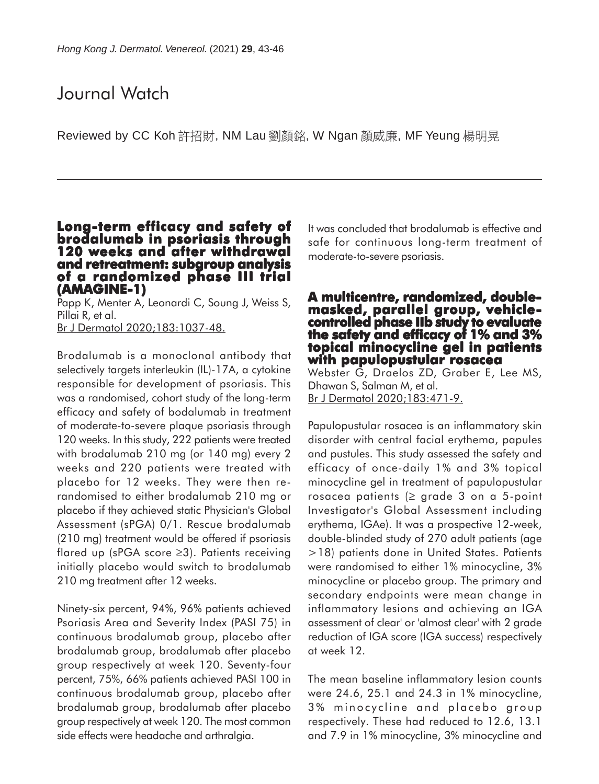# Journal Watch

Reviewed by CC Koh 許招財, NM Lau 劉顏銘, W Ngan 顏威廉, MF Yeung 楊明晃

#### **Long-term efficacy and safety of Long-term and safety brodalumab in psoriasis through 120 weeks and after withdrawal and retreatment: subgroup analysis of a randomized phase III trial of a randomized phase (AMAGINE-1) (AMAGINE-1)**

Papp K, Menter A, Leonardi C, Soung J, Weiss S, Pillai R, et al. Br J Dermatol 2020;183:1037-48.

Brodalumab is a monoclonal antibody that selectively targets interleukin (IL)-17A, a cytokine responsible for development of psoriasis. This was a randomised, cohort study of the long-term efficacy and safety of bodalumab in treatment of moderate-to-severe plaque psoriasis through 120 weeks. In this study, 222 patients were treated with brodalumab 210 mg (or 140 mg) every 2 weeks and 220 patients were treated with placebo for 12 weeks. They were then rerandomised to either brodalumab 210 mg or placebo if they achieved static Physician's Global Assessment (sPGA) 0/1. Rescue brodalumab (210 mg) treatment would be offered if psoriasis flared up (sPGA score ≥3). Patients receiving initially placebo would switch to brodalumab 210 mg treatment after 12 weeks.

Ninety-six percent, 94%, 96% patients achieved Psoriasis Area and Severity Index (PASI 75) in continuous brodalumab group, placebo after brodalumab group, brodalumab after placebo group respectively at week 120. Seventy-four percent, 75%, 66% patients achieved PASI 100 in continuous brodalumab group, placebo after brodalumab group, brodalumab after placebo group respectively at week 120. The most common side effects were headache and arthralgia.

It was concluded that brodalumab is effective and safe for continuous long-term treatment of moderate-to-severe psoriasis.

## **A multicentre, randomized, doublemasked, parallel group, vehicle- controlled phase IIb study to evaluate the safety and efficacy of 1% and 3% topical minocycline gel in patients with papulopustular rosacea**

Webster G, Draelos ZD, Graber E, Lee MS, Dhawan S, Salman M, et al. Br J Dermatol 2020;183:471-9.

Papulopustular rosacea is an inflammatory skin disorder with central facial erythema, papules and pustules. This study assessed the safety and efficacy of once-daily 1% and 3% topical minocycline gel in treatment of papulopustular rosacea patients (≥ grade 3 on a 5-point Investigator's Global Assessment including erythema, IGAe). It was a prospective 12-week, double-blinded study of 270 adult patients (age >18) patients done in United States. Patients were randomised to either 1% minocycline, 3% minocycline or placebo group. The primary and secondary endpoints were mean change in inflammatory lesions and achieving an IGA assessment of clear' or 'almost clear' with 2 grade reduction of IGA score (IGA success) respectively at week 12.

The mean baseline inflammatory lesion counts were 24.6, 25.1 and 24.3 in 1% minocycline, 3% minocycline and placebo group respectively. These had reduced to 12.6, 13.1 and 7.9 in 1% minocycline, 3% minocycline and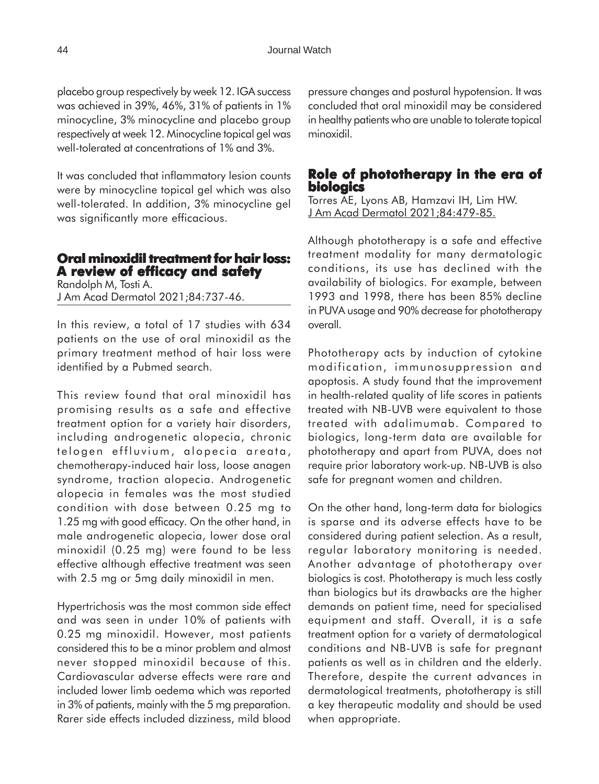placebo group respectively by week 12. IGA success was achieved in 39%, 46%, 31% of patients in 1% minocycline, 3% minocycline and placebo group respectively at week 12. Minocycline topical gel was well-tolerated at concentrations of 1% and 3%.

It was concluded that inflammatory lesion counts were by minocycline topical gel which was also well-tolerated. In addition, 3% minocycline gel was significantly more efficacious.

## **Oral minoxidil treatment for hair loss: minoxidil for hair loss: A review of efficacy and safety**

Randolph M, Tosti A. J Am Acad Dermatol 2021;84:737-46.

In this review, a total of 17 studies with 634 patients on the use of oral minoxidil as the primary treatment method of hair loss were identified by a Pubmed search.

This review found that oral minoxidil has promising results as a safe and effective treatment option for a variety hair disorders, including androgenetic alopecia, chronic telogen effluvium, alopecia areata, chemotherapy-induced hair loss, loose anagen syndrome, traction alopecia. Androgenetic alopecia in females was the most studied condition with dose between 0.25 mg to 1.25 mg with good efficacy. On the other hand, in male androgenetic alopecia, lower dose oral minoxidil (0.25 mg) were found to be less effective although effective treatment was seen with 2.5 mg or 5mg daily minoxidil in men.

Hypertrichosis was the most common side effect and was seen in under 10% of patients with 0.25 mg minoxidil. However, most patients considered this to be a minor problem and almost never stopped minoxidil because of this. Cardiovascular adverse effects were rare and included lower limb oedema which was reported in 3% of patients, mainly with the 5 mg preparation. Rarer side effects included dizziness, mild blood

pressure changes and postural hypotension. It was concluded that oral minoxidil may be considered in healthy patients who are unable to tolerate topical minoxidil.

## **Role of phototherapy in the era of Role of phototherapy the of biologics**

Torres AE, Lyons AB, Hamzavi IH, Lim HW. J Am Acad Dermatol 2021;84:479-85.

Although phototherapy is a safe and effective treatment modality for many dermatologic conditions, its use has declined with the availability of biologics. For example, between 1993 and 1998, there has been 85% decline in PUVA usage and 90% decrease for phototherapy overall.

Phototherapy acts by induction of cytokine modification, immunosuppression and apoptosis. A study found that the improvement in health-related quality of life scores in patients treated with NB-UVB were equivalent to those treated with adalimumab. Compared to biologics, long-term data are available for phototherapy and apart from PUVA, does not require prior laboratory work-up. NB-UVB is also safe for pregnant women and children.

On the other hand, long-term data for biologics is sparse and its adverse effects have to be considered during patient selection. As a result, regular laboratory monitoring is needed. Another advantage of phototherapy over biologics is cost. Phototherapy is much less costly than biologics but its drawbacks are the higher demands on patient time, need for specialised equipment and staff. Overall, it is a safe treatment option for a variety of dermatological conditions and NB-UVB is safe for pregnant patients as well as in children and the elderly. Therefore, despite the current advances in dermatological treatments, phototherapy is still a key therapeutic modality and should be used when appropriate.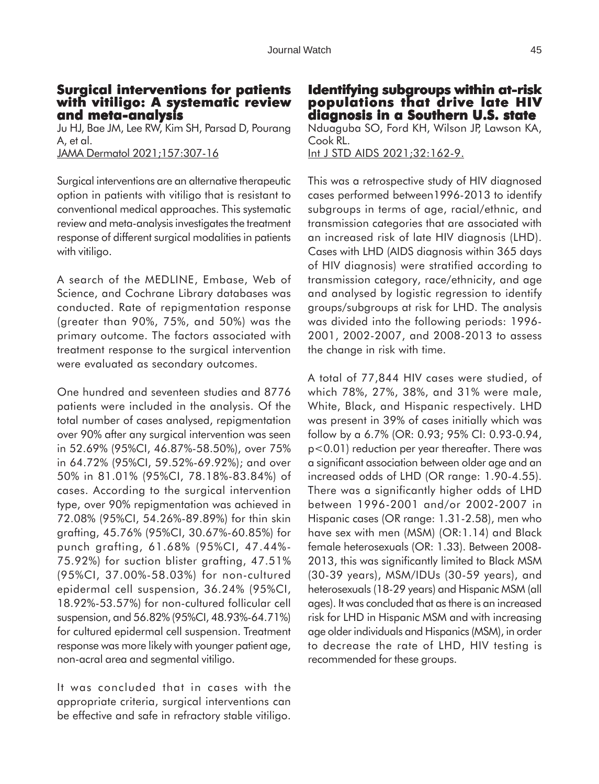## **Surgical interventions for patients with vitiligo: A systematic review and meta-analysis**

Ju HJ, Bae JM, Lee RW, Kim SH, Parsad D, Pourang A, et al.

JAMA Dermatol 2021;157:307-16

Surgical interventions are an alternative therapeutic option in patients with vitiligo that is resistant to conventional medical approaches. This systematic review and meta-analysis investigates the treatment response of different surgical modalities in patients with vitiligo.

A search of the MEDLINE, Embase, Web of Science, and Cochrane Library databases was conducted. Rate of repigmentation response (greater than 90%, 75%, and 50%) was the primary outcome. The factors associated with treatment response to the surgical intervention were evaluated as secondary outcomes.

One hundred and seventeen studies and 8776 patients were included in the analysis. Of the total number of cases analysed, repigmentation over 90% after any surgical intervention was seen in 52.69% (95%CI, 46.87%-58.50%), over 75% in 64.72% (95%CI, 59.52%-69.92%); and over 50% in 81.01% (95%CI, 78.18%-83.84%) of cases. According to the surgical intervention type, over 90% repigmentation was achieved in 72.08% (95%CI, 54.26%-89.89%) for thin skin grafting, 45.76% (95%CI, 30.67%-60.85%) for punch grafting, 61.68% (95%CI, 47.44%- 75.92%) for suction blister grafting, 47.51% (95%CI, 37.00%-58.03%) for non-cultured epidermal cell suspension, 36.24% (95%CI, 18.92%-53.57%) for non-cultured follicular cell suspension, and 56.82% (95%CI, 48.93%-64.71%) for cultured epidermal cell suspension. Treatment response was more likely with younger patient age, non-acral area and segmental vitiligo.

It was concluded that in cases with the appropriate criteria, surgical interventions can be effective and safe in refractory stable vitiligo. **Identifying subgroups within at-risk populations that drive late HIV diagnosis in a Southern U.S. state** Nduaguba SO, Ford KH, Wilson JP, Lawson KA, Cook RL. Int J STD AIDS 2021;32:162-9.

This was a retrospective study of HIV diagnosed cases performed between1996-2013 to identify subgroups in terms of age, racial/ethnic, and transmission categories that are associated with an increased risk of late HIV diagnosis (LHD). Cases with LHD (AIDS diagnosis within 365 days of HIV diagnosis) were stratified according to transmission category, race/ethnicity, and age and analysed by logistic regression to identify groups/subgroups at risk for LHD. The analysis was divided into the following periods: 1996- 2001, 2002-2007, and 2008-2013 to assess the change in risk with time.

A total of 77,844 HIV cases were studied, of which 78%, 27%, 38%, and 31% were male, White, Black, and Hispanic respectively. LHD was present in 39% of cases initially which was follow by a 6.7% (OR: 0.93; 95% CI: 0.93-0.94, p<0.01) reduction per year thereafter. There was a significant association between older age and an increased odds of LHD (OR range: 1.90-4.55). There was a significantly higher odds of LHD between 1996-2001 and/or 2002-2007 in Hispanic cases (OR range: 1.31-2.58), men who have sex with men (MSM) (OR:1.14) and Black female heterosexuals (OR: 1.33). Between 2008- 2013, this was significantly limited to Black MSM (30-39 years), MSM/IDUs (30-59 years), and heterosexuals (18-29 years) and Hispanic MSM (all ages). It was concluded that as there is an increased risk for LHD in Hispanic MSM and with increasing age older individuals and Hispanics (MSM), in order to decrease the rate of LHD, HIV testing is recommended for these groups.